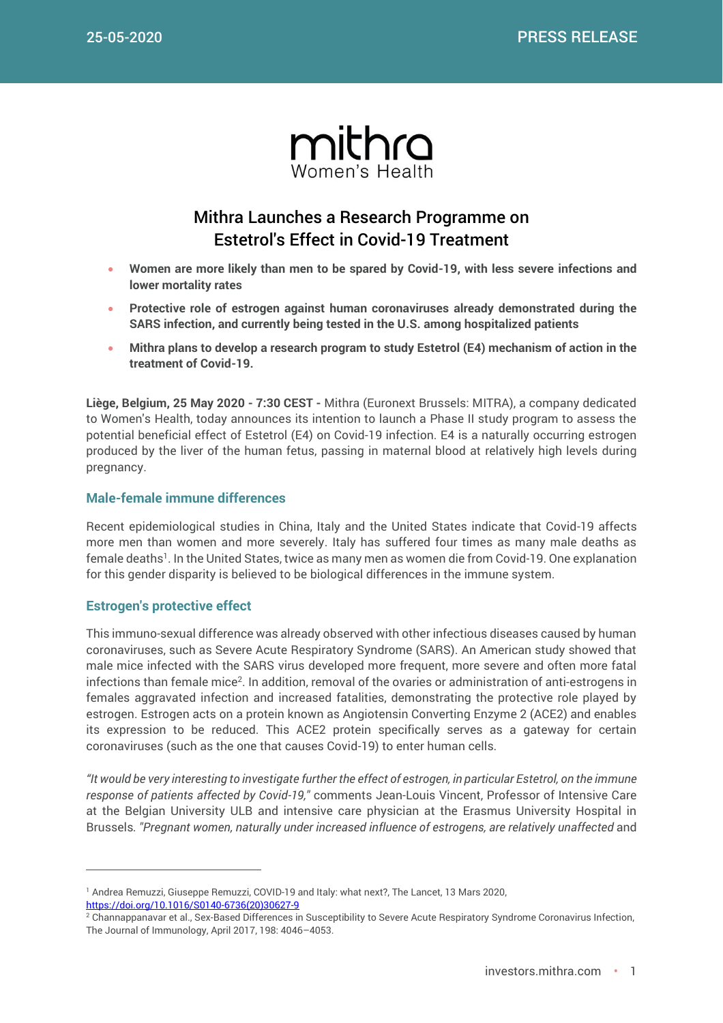

# Mithra Launches a Research Programme on Estetrol's Effect in Covid-19 Treatment

- **Women are more likely than men to be spared by Covid-19, with less severe infections and lower mortality rates**
- **Protective role of estrogen against human coronaviruses already demonstrated during the SARS infection, and currently being tested in the U.S. among hospitalized patients**
- **Mithra plans to develop a research program to study Estetrol (E4) mechanism of action in the treatment of Covid-19.**

**Liège, Belgium, 25 May 2020 - 7:30 CEST -** Mithra (Euronext Brussels: MITRA), a company dedicated to Women's Health, today announces its intention to launch a Phase II study program to assess the potential beneficial effect of Estetrol (E4) on Covid-19 infection. E4 is a naturally occurring estrogen produced by the liver of the human fetus, passing in maternal blood at relatively high levels during pregnancy.

## **Male-female immune differences**

Recent epidemiological studies in China, Italy and the United States indicate that Covid-19 affects more men than women and more severely. Italy has suffered four times as many male deaths as female deaths<sup>1</sup>. In the United States, twice as many men as women die from Covid-19. One explanation for this gender disparity is believed to be biological differences in the immune system.

#### **Estrogen's protective effect**

 $\overline{a}$ 

This immuno-sexual difference was already observed with other infectious diseases caused by human coronaviruses, such as Severe Acute Respiratory Syndrome (SARS). An American study showed that male mice infected with the SARS virus developed more frequent, more severe and often more fatal infections than female mice<sup>2</sup>. In addition, removal of the ovaries or administration of anti-estrogens in females aggravated infection and increased fatalities, demonstrating the protective role played by estrogen. Estrogen acts on a protein known as Angiotensin Converting Enzyme 2 (ACE2) and enables its expression to be reduced. This ACE2 protein specifically serves as a gateway for certain coronaviruses (such as the one that causes Covid-19) to enter human cells.

*"It would be very interesting to investigate further the effect of estrogen, in particular Estetrol, on the immune response of patients affected by Covid-19,"* comments Jean-Louis Vincent, Professor of Intensive Care at the Belgian University ULB and intensive care physician at the Erasmus University Hospital in Brussels. "Pregnant women, naturally under increased influence of estrogens, are relatively unaffected and

<sup>&</sup>lt;sup>1</sup> Andrea Remuzzi, Giuseppe Remuzzi, COVID-19 and Italy: what next?, The Lancet, 13 Mars 2020, [https://doi.org/10.1016/S0140-6736\(20\)30627-9](https://doi.org/10.1016/S0140-6736(20)30627-9)

<sup>&</sup>lt;sup>2</sup> Channappanavar et al., Sex-Based Differences in Susceptibility to Severe Acute Respiratory Syndrome Coronavirus Infection, The Journal of Immunology, April 2017, 198: 4046–4053.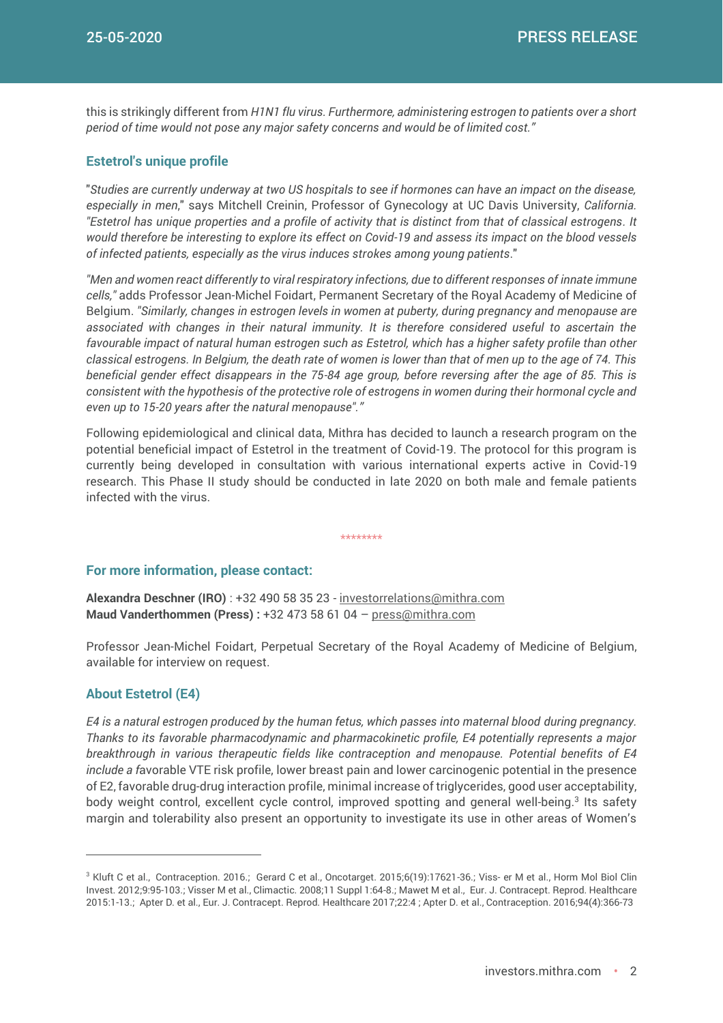this is strikingly different from *H1N1 flu virus. Furthermore, administering estrogen to patients over a short period of time would not pose any major safety concerns and would be of limited cost."*

### **Estetrol's unique profile**

"*Studies are currently underway at two US hospitals to see if hormones can have an impact on the disease, especially in men*," says Mitchell Creinin, Professor of Gynecology at UC Davis University, *California. "Estetrol has unique properties and a profile of activity that is distinct from that of classical estrogens. It would therefore be interesting to explore its effect on Covid-19 and assess its impact on the blood vessels of infected patients, especially as the virus induces strokes among young patients*."

*"Men and women react differently to viral respiratory infections, due to different responses of innate immune cells,"* adds Professor Jean-Michel Foidart, Permanent Secretary of the Royal Academy of Medicine of Belgium. *"Similarly, changes in estrogen levels in women at puberty, during pregnancy and menopause are associated with changes in their natural immunity. It is therefore considered useful to ascertain the favourable impact of natural human estrogen such as Estetrol, which has a higher safety profile than other classical estrogens. In Belgium, the death rate of women is lower than that of men up to the age of 74. This beneficial gender effect disappears in the 75-84 age group, before reversing after the age of 85. This is consistent with the hypothesis of the protective role of estrogens in women during their hormonal cycle and even up to 15-20 years after the natural menopause"."*

Following epidemiological and clinical data, Mithra has decided to launch a research program on the potential beneficial impact of Estetrol in the treatment of Covid-19. The protocol for this program is currently being developed in consultation with various international experts active in Covid-19 research. This Phase II study should be conducted in late 2020 on both male and female patients infected with the virus.

\*\*\*\*\*\*\*\*

#### **For more information, please contact:**

**Alexandra Deschner (IRO)** : +32 490 58 35 23 - [investorrelations@mithra.com](mailto:investorrelations@mithra.com) **Maud Vanderthommen (Press) :** +32 473 58 61 04 – [press@mithra.com](mailto:press@mithra.com)

Professor Jean-Michel Foidart, Perpetual Secretary of the Royal Academy of Medicine of Belgium, available for interview on request.

#### **About Estetrol (E4)**

 $\overline{a}$ 

*E4 is a natural estrogen produced by the human fetus, which passes into maternal blood during pregnancy. Thanks to its favorable pharmacodynamic and pharmacokinetic profile, E4 potentially represents a major breakthrough in various therapeutic fields like contraception and menopause. Potential benefits of E4 include a f*avorable VTE risk profile, lower breast pain and lower carcinogenic potential in the presence of E2, favorable drug-drug interaction profile, minimal increase of triglycerides, good user acceptability, body weight control, excellent cycle control, improved spotting and general well-being.<sup>3</sup> Its safety margin and tolerability also present an opportunity to investigate its use in other areas of Women's

<sup>3</sup> Kluft C et al., Contraception. 2016.; Gerard C et al., Oncotarget. 2015;6(19):17621-36.; Viss- er M et al., Horm Mol Biol Clin Invest. 2012;9:95-103.; Visser M et al., Climactic. 2008;11 Suppl 1:64-8.; Mawet M et al., Eur. J. Contracept. Reprod. Healthcare 2015:1-13.; Apter D. et al., Eur. J. Contracept. Reprod. Healthcare 2017;22:4 ; Apter D. et al., Contraception. 2016;94(4):366-73